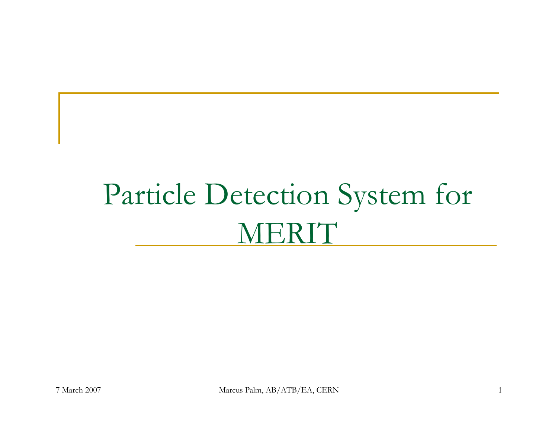# Particle Detection System for MERIT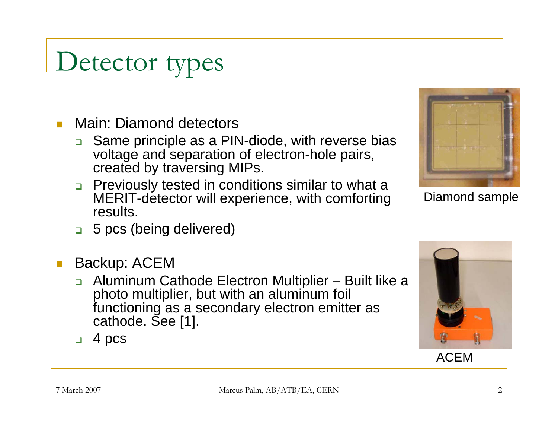### Detector types

- п Main: Diamond detectors
	- $\Box$  Same principle as a PIN-diode, with reverse bias voltage and separation of electron-hole pairs, created by traversing MIPs.
	- $\Box$  Previously tested in conditions similar to what a MERIT-detector will experience, with comforting results.



Diamond sample

- □ 5 pcs (being delivered)
- $\mathcal{C}^{\mathcal{A}}$  Backup: ACEM
	- Aluminum Cathode Electron Multiplier Built like a photo multiplier, but with an aluminum foil functioning as a secondary electron emitter as cathode. See [1].
	- $\Box$ 4 pcs

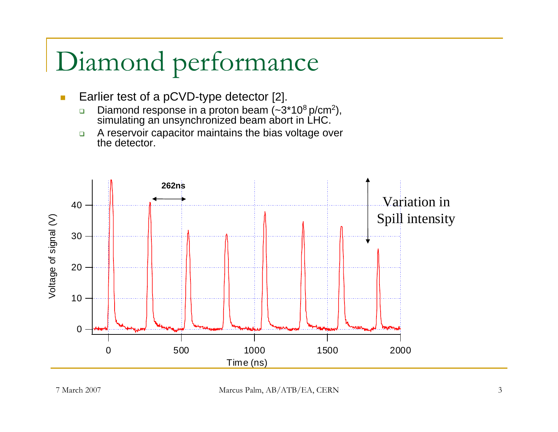# Diamond performance

- $\overline{\mathbb{R}^n}$  Earlier test of a pCVD-type detector [2].
	- $\Box$ **Diamond response in a proton beam (~3\*10<sup>8</sup> p/cm<sup>2</sup>),** simulating an unsynchronized beam abort in LHC.
	- $\Box$  A reservoir capacitor maintains the bias voltage over the detector.

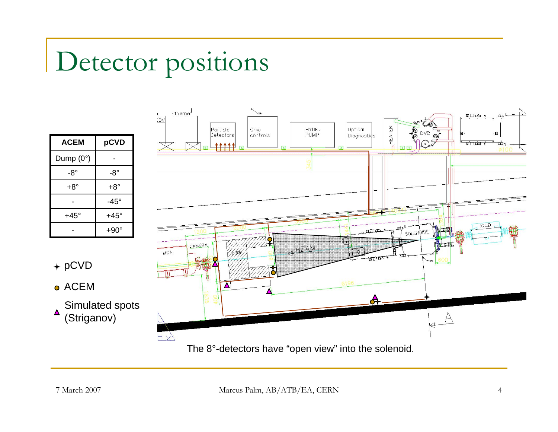### Detector positions

| <b>ACEM</b>        | pCVD         |  |  |  |
|--------------------|--------------|--|--|--|
| Dump $(0^{\circ})$ |              |  |  |  |
| -8°                | -8°          |  |  |  |
| $+8^{\circ}$       | $+8^{\circ}$ |  |  |  |
|                    | $-45^\circ$  |  |  |  |
| $+45^\circ$        | $+45^\circ$  |  |  |  |
|                    | $+90^\circ$  |  |  |  |

- pCVD
- ACEM
- Simulated spots  $\blacktriangle$ (Striganov)

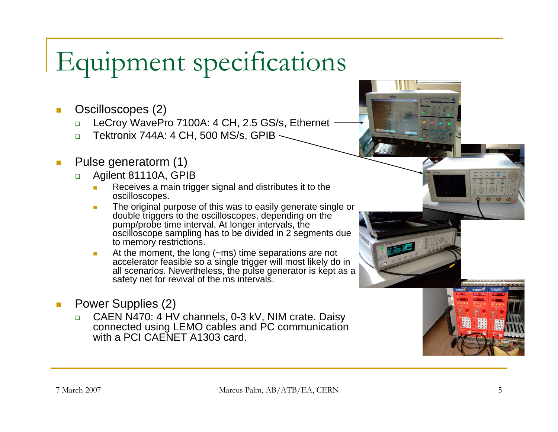# Equipment specifications

- T. Oscilloscopes (2)
	- □ LeCroy WavePro 7100A: 4 CH, 2.5 GS/s, Ethernet
	- $\Box$ Tektronix 744A: 4 CH, 500 MS/s, GPIB
- $\mathbb{R}^3$  Pulse generatorm (1)
	- $\Box$  Agilent 81110A, GPIB
		- Π Receives a main trigger signal and distributes it to the oscilloscopes.
		- The original purpose of this was to easily generate single or double triggers to the oscilloscopes, depending on the pump/probe time interval. At longer intervals, the oscilloscope sampling has to be divided in 2 segments due to memory restrictions.
		- Ē. At the moment, the long (~ms) time separations are not accelerator feasible so a single trigger will most likely do in all scenarios. Nevertheless, the pulse generator is kept as a safety net for revival of the ms intervals.
- $\mathbb{R}^3$  Power Supplies (2)
	- ❏ CAEN N470: 4 HV channels, 0-3 kV, NIM crate. Daisy connected using LEMO cables and PC communication with a PCI CAENET A1303 card.

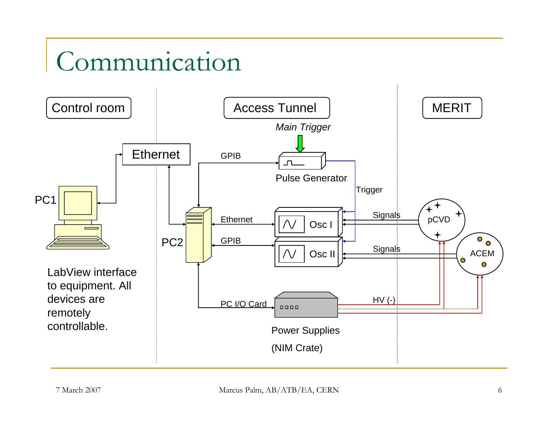#### Communication

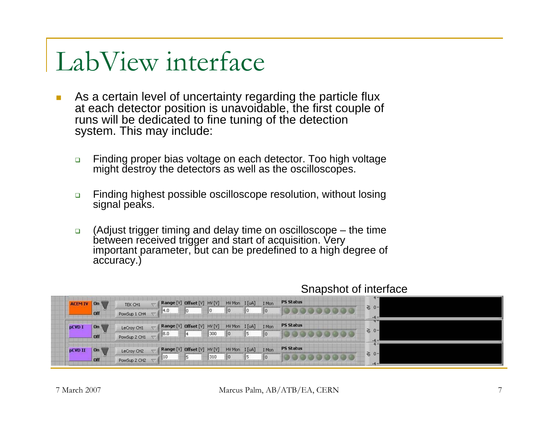### LabView interface

- $\overline{\mathbb{R}^n}$  As a certain level of uncertainty regarding the particle flux at each detector position is unavoidable, the first couple of runs will be dedicated to fine tuning of the detection system. This may include:
	- $\Box$  Finding proper bias voltage on each detector. Too high voltage might destroy the detectors as well as the oscilloscopes.
	- $\Box$  Finding highest possible oscilloscope resolution, without losing signal peaks.
	- $\Box$  (Adjust trigger timing and delay time on oscilloscope – the time between received trigger and start of acquisition. Very important parameter, but can be predefined to a high degree of accuracy.)

#### Snapshot of interface

| <b>ACEM IV</b>                                 | On <sup>1</sup> | TEK CH1      | Range [V] Offset [V] HV [V] |     | HV Mon I [uA] |    | I Mon | <b>PS Status</b> | $4 -$             |  |
|------------------------------------------------|-----------------|--------------|-----------------------------|-----|---------------|----|-------|------------------|-------------------|--|
|                                                | <b>Off</b>      | PowSup 1 CH4 | 4.0                         |     |               |    |       |                  | 검 0-<br>$-4-$     |  |
| <b>pCVD I</b><br>On <sup>3</sup><br><b>Off</b> |                 | LeCroy CH1   | Range [V] Offset [V] HV [V] |     | HV Mon I [uA] |    | I Mon | <b>PS Status</b> | <b>+-</b><br>중 0- |  |
|                                                |                 | PowSup 2 CH1 | 8.0                         | 300 | lο            | 15 |       |                  |                   |  |
| <b>pCVD II</b>                                 | On <sup>1</sup> | LeCroy CH2   | Range [V] Offset [V] HV [V] |     | HV Mon I [uA] |    | I Mon | <b>PS Status</b> | $4 -$<br>· 공 0-   |  |
|                                                | <b>Off</b>      | PowSup 2 CH2 | 410                         | 310 | 10            | 15 |       |                  |                   |  |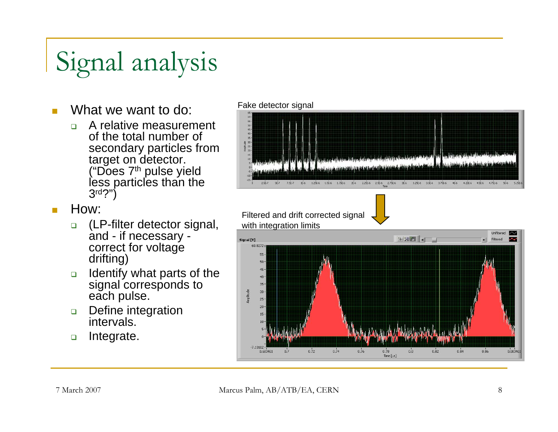# Signal analysis

- What we want to do:
	- **A** relative measurement of the total number of secondary particles from target on detector. ("Does 7th pulse yield less particles than the 3rd?")
- How:
	- $\Box$  (LP-filter detector signal, and - if necessary correct for voltage drifting)
	- $\Box$  Identify what parts of the signal corresponds to each pulse.
	- $\Box$  Define integration intervals.
	- $\Box$ Integrate.



Filtered and drift corrected signal with integration limits

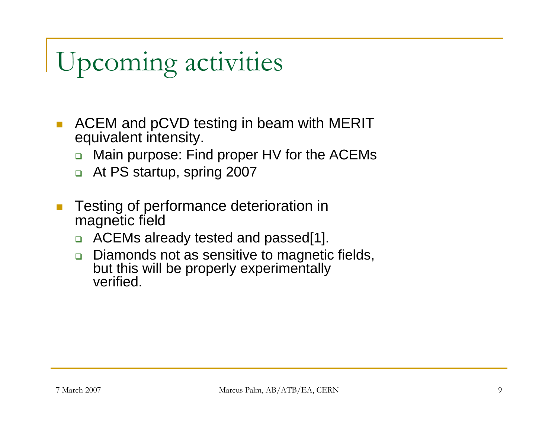# Upcoming activities

- $\mathbb{R}^2$  ACEM and pCVD testing in beam with MERIT equivalent intensity.
	- $\Box$ Main purpose: Find proper HV for the ACEMs
	- $\Box$ At PS startup, spring 2007
- **I**  Testing of performance deterioration in magnetic field
	- □ ACEMs already tested and passed[1].
	- $\Box$  Diamonds not as sensitive to magnetic fields, but this will be properly experimentally verified.